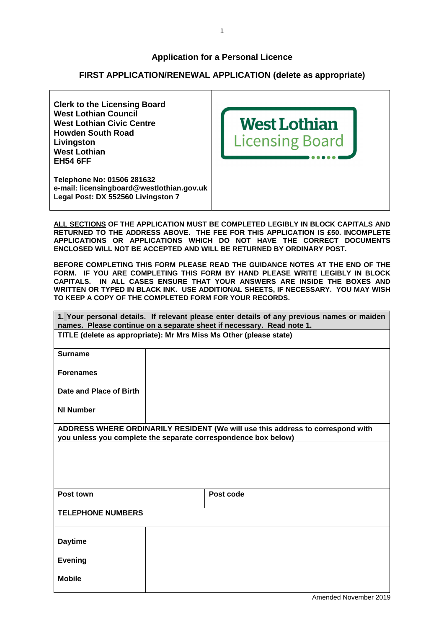## **Application for a Personal Licence**

## **FIRST APPLICATION/RENEWAL APPLICATION (delete as appropriate)**



**ALL SECTIONS OF THE APPLICATION MUST BE COMPLETED LEGIBLY IN BLOCK CAPITALS AND RETURNED TO THE ADDRESS ABOVE. THE FEE FOR THIS APPLICATION IS £50. INCOMPLETE APPLICATIONS OR APPLICATIONS WHICH DO NOT HAVE THE CORRECT DOCUMENTS ENCLOSED WILL NOT BE ACCEPTED AND WILL BE RETURNED BY ORDINARY POST.** 

**BEFORE COMPLETING THIS FORM PLEASE READ THE GUIDANCE NOTES AT THE END OF THE FORM. IF YOU ARE COMPLETING THIS FORM BY HAND PLEASE WRITE LEGIBLY IN BLOCK CAPITALS. IN ALL CASES ENSURE THAT YOUR ANSWERS ARE INSIDE THE BOXES AND WRITTEN OR TYPED IN BLACK INK. USE ADDITIONAL SHEETS, IF NECESSARY. YOU MAY WISH TO KEEP A COPY OF THE COMPLETED FORM FOR YOUR RECORDS.** 

| 1. Your personal details. If relevant please enter details of any previous names or maiden<br>names. Please continue on a separate sheet if necessary. Read note 1. |  |                                                                                                                                                  |  |  |
|---------------------------------------------------------------------------------------------------------------------------------------------------------------------|--|--------------------------------------------------------------------------------------------------------------------------------------------------|--|--|
| TITLE (delete as appropriate): Mr Mrs Miss Ms Other (please state)                                                                                                  |  |                                                                                                                                                  |  |  |
| <b>Surname</b>                                                                                                                                                      |  |                                                                                                                                                  |  |  |
| <b>Forenames</b>                                                                                                                                                    |  |                                                                                                                                                  |  |  |
| Date and Place of Birth                                                                                                                                             |  |                                                                                                                                                  |  |  |
| <b>NI Number</b>                                                                                                                                                    |  |                                                                                                                                                  |  |  |
|                                                                                                                                                                     |  | ADDRESS WHERE ORDINARILY RESIDENT (We will use this address to correspond with<br>you unless you complete the separate correspondence box below) |  |  |
|                                                                                                                                                                     |  |                                                                                                                                                  |  |  |
|                                                                                                                                                                     |  |                                                                                                                                                  |  |  |
|                                                                                                                                                                     |  |                                                                                                                                                  |  |  |
| Post town                                                                                                                                                           |  | Post code                                                                                                                                        |  |  |
| <b>TELEPHONE NUMBERS</b>                                                                                                                                            |  |                                                                                                                                                  |  |  |
| <b>Daytime</b>                                                                                                                                                      |  |                                                                                                                                                  |  |  |
| <b>Evening</b>                                                                                                                                                      |  |                                                                                                                                                  |  |  |
|                                                                                                                                                                     |  |                                                                                                                                                  |  |  |
| <b>Mobile</b>                                                                                                                                                       |  |                                                                                                                                                  |  |  |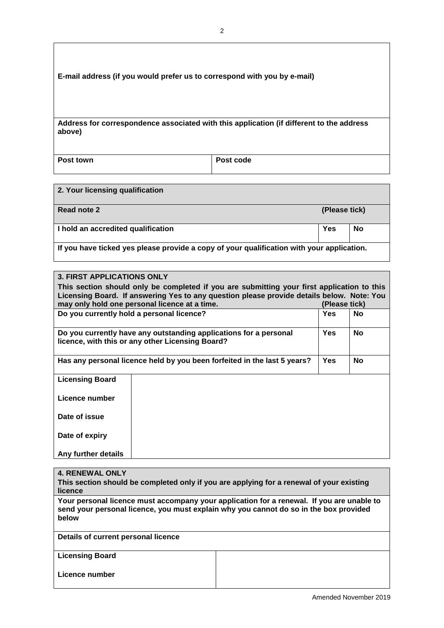| E-mail address (if you would prefer us to correspond with you by e-mail)                           |           |  |  |  |
|----------------------------------------------------------------------------------------------------|-----------|--|--|--|
| Address for correspondence associated with this application (if different to the address<br>above) |           |  |  |  |
| Post town                                                                                          | Post code |  |  |  |

| 2. Your licensing qualification                                                           |               |    |
|-------------------------------------------------------------------------------------------|---------------|----|
| Read note 2                                                                               | (Please tick) |    |
| I hold an accredited qualification                                                        | Yes           | No |
| If you have ticked yes please provide a copy of your qualification with your application. |               |    |

| <b>3. FIRST APPLICATIONS ONLY</b>                                                                                                                |  |  |           |
|--------------------------------------------------------------------------------------------------------------------------------------------------|--|--|-----------|
| This section should only be completed if you are submitting your first application to this                                                       |  |  |           |
| Licensing Board. If answering Yes to any question please provide details below. Note: You                                                        |  |  |           |
| may only hold one personal licence at a time.<br>(Please tick)<br><b>Yes</b>                                                                     |  |  |           |
| Do you currently hold a personal licence?                                                                                                        |  |  | <b>No</b> |
| <b>Yes</b><br><b>No</b><br>Do you currently have any outstanding applications for a personal<br>licence, with this or any other Licensing Board? |  |  |           |
| Has any personal licence held by you been forfeited in the last 5 years?                                                                         |  |  | <b>No</b> |
| <b>Licensing Board</b>                                                                                                                           |  |  |           |
| Licence number                                                                                                                                   |  |  |           |
| Date of issue                                                                                                                                    |  |  |           |
| Date of expiry                                                                                                                                   |  |  |           |
| Any further details                                                                                                                              |  |  |           |

| <b>4. RENEWAL ONLY</b><br>This section should be completed only if you are applying for a renewal of your existing<br>licence                                                               |  |  |  |
|---------------------------------------------------------------------------------------------------------------------------------------------------------------------------------------------|--|--|--|
| Your personal licence must accompany your application for a renewal. If you are unable to<br>send your personal licence, you must explain why you cannot do so in the box provided<br>below |  |  |  |
| Details of current personal licence                                                                                                                                                         |  |  |  |
| <b>Licensing Board</b>                                                                                                                                                                      |  |  |  |
| Licence number                                                                                                                                                                              |  |  |  |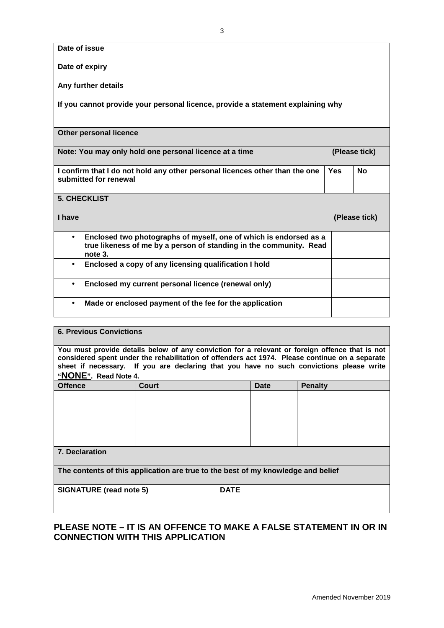| Date of issue                                                                                        |                                                                               |  |            |               |
|------------------------------------------------------------------------------------------------------|-------------------------------------------------------------------------------|--|------------|---------------|
| Date of expiry                                                                                       |                                                                               |  |            |               |
| Any further details                                                                                  |                                                                               |  |            |               |
| If you cannot provide your personal licence, provide a statement explaining why                      |                                                                               |  |            |               |
|                                                                                                      |                                                                               |  |            |               |
|                                                                                                      | <b>Other personal licence</b>                                                 |  |            |               |
| Note: You may only hold one personal licence at a time<br>(Please tick)                              |                                                                               |  |            |               |
| I confirm that I do not hold any other personal licences other than the one<br>submitted for renewal |                                                                               |  | <b>Yes</b> | <b>No</b>     |
| <b>5. CHECKLIST</b>                                                                                  |                                                                               |  |            |               |
|                                                                                                      |                                                                               |  |            |               |
| I have                                                                                               |                                                                               |  |            | (Please tick) |
| $\bullet$                                                                                            | Enclosed two photographs of myself, one of which is endorsed as a             |  |            |               |
|                                                                                                      | true likeness of me by a person of standing in the community. Read<br>note 3. |  |            |               |
| $\bullet$                                                                                            | Enclosed a copy of any licensing qualification I hold                         |  |            |               |
| $\bullet$                                                                                            | Enclosed my current personal licence (renewal only)                           |  |            |               |
| $\bullet$                                                                                            | Made or enclosed payment of the fee for the application                       |  |            |               |

| <b>6. Previous Convictions</b>                                                                                                                                                                                                                                                                                      |       |             |      |                |
|---------------------------------------------------------------------------------------------------------------------------------------------------------------------------------------------------------------------------------------------------------------------------------------------------------------------|-------|-------------|------|----------------|
| You must provide details below of any conviction for a relevant or foreign offence that is not<br>considered spent under the rehabilitation of offenders act 1974. Please continue on a separate<br>sheet if necessary. If you are declaring that you have no such convictions please write<br>"NONE". Read Note 4. |       |             |      |                |
| <b>Offence</b>                                                                                                                                                                                                                                                                                                      | Court |             | Date | <b>Penalty</b> |
|                                                                                                                                                                                                                                                                                                                     |       |             |      |                |
| <b>7. Declaration</b>                                                                                                                                                                                                                                                                                               |       |             |      |                |
| The contents of this application are true to the best of my knowledge and belief                                                                                                                                                                                                                                    |       |             |      |                |
| <b>SIGNATURE (read note 5)</b>                                                                                                                                                                                                                                                                                      |       | <b>DATE</b> |      |                |

# **PLEASE NOTE – IT IS AN OFFENCE TO MAKE A FALSE STATEMENT IN OR IN CONNECTION WITH THIS APPLICATION**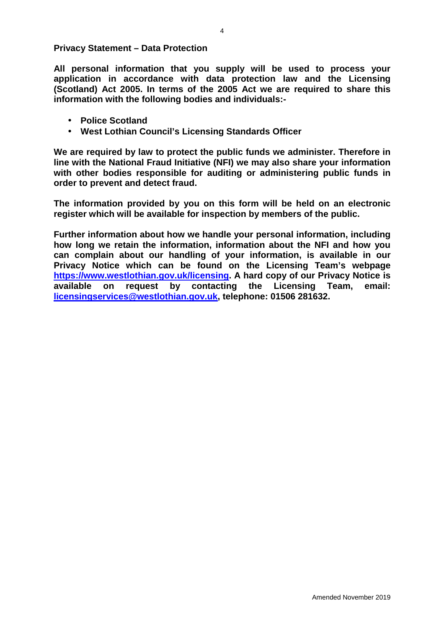**Privacy Statement – Data Protection** 

**All personal information that you supply will be used to process your application in accordance with data protection law and the Licensing (Scotland) Act 2005. In terms of the 2005 Act we are required to share this information with the following bodies and individuals:-** 

- **Police Scotland**
- **West Lothian Council's Licensing Standards Officer**

**We are required by law to protect the public funds we administer. Therefore in line with the National Fraud Initiative (NFI) we may also share your information with other bodies responsible for auditing or administering public funds in order to prevent and detect fraud.** 

**The information provided by you on this form will be held on an electronic register which will be available for inspection by members of the public.** 

**Further information about how we handle your personal information, including how long we retain the information, information about the NFI and how you can complain about our handling of your information, is available in our Privacy Notice which can be found on the Licensing Team's webpage https://www.westlothian.gov.uk/licensing. A hard copy of our Privacy Notice is available on request by contacting the Licensing Team, email: licensingservices@westlothian.gov.uk, telephone: 01506 281632.**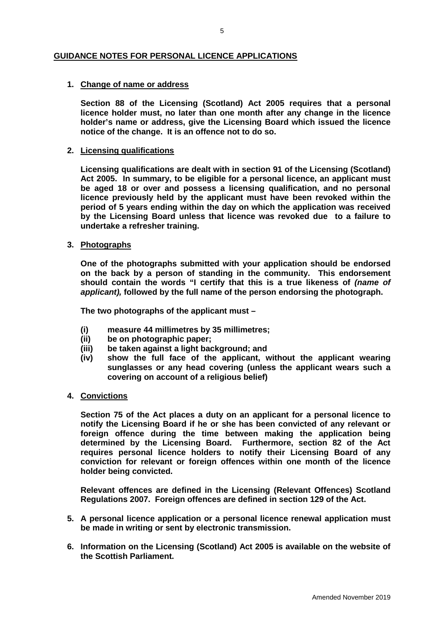## **GUIDANCE NOTES FOR PERSONAL LICENCE APPLICATIONS**

### **1. Change of name or address**

**Section 88 of the Licensing (Scotland) Act 2005 requires that a personal licence holder must, no later than one month after any change in the licence holder's name or address, give the Licensing Board which issued the licence notice of the change. It is an offence not to do so.** 

#### **2. Licensing qualifications**

**Licensing qualifications are dealt with in section 91 of the Licensing (Scotland) Act 2005. In summary, to be eligible for a personal licence, an applicant must be aged 18 or over and possess a licensing qualification, and no personal licence previously held by the applicant must have been revoked within the period of 5 years ending within the day on which the application was received by the Licensing Board unless that licence was revoked due to a failure to undertake a refresher training.** 

### **3. Photographs**

**One of the photographs submitted with your application should be endorsed on the back by a person of standing in the community. This endorsement should contain the words "I certify that this is a true likeness of (name of applicant), followed by the full name of the person endorsing the photograph.** 

**The two photographs of the applicant must –** 

- **(i) measure 44 millimetres by 35 millimetres;**
- **(ii) be on photographic paper;**
- **(iii) be taken against a light background; and**
- **(iv) show the full face of the applicant, without the applicant wearing sunglasses or any head covering (unless the applicant wears such a covering on account of a religious belief)**

#### **4. Convictions**

**Section 75 of the Act places a duty on an applicant for a personal licence to notify the Licensing Board if he or she has been convicted of any relevant or foreign offence during the time between making the application being determined by the Licensing Board. Furthermore, section 82 of the Act requires personal licence holders to notify their Licensing Board of any conviction for relevant or foreign offences within one month of the licence holder being convicted.** 

**Relevant offences are defined in the Licensing (Relevant Offences) Scotland Regulations 2007. Foreign offences are defined in section 129 of the Act.** 

- **5. A personal licence application or a personal licence renewal application must be made in writing or sent by electronic transmission.**
- **6. Information on the Licensing (Scotland) Act 2005 is available on the website of the Scottish Parliament.**